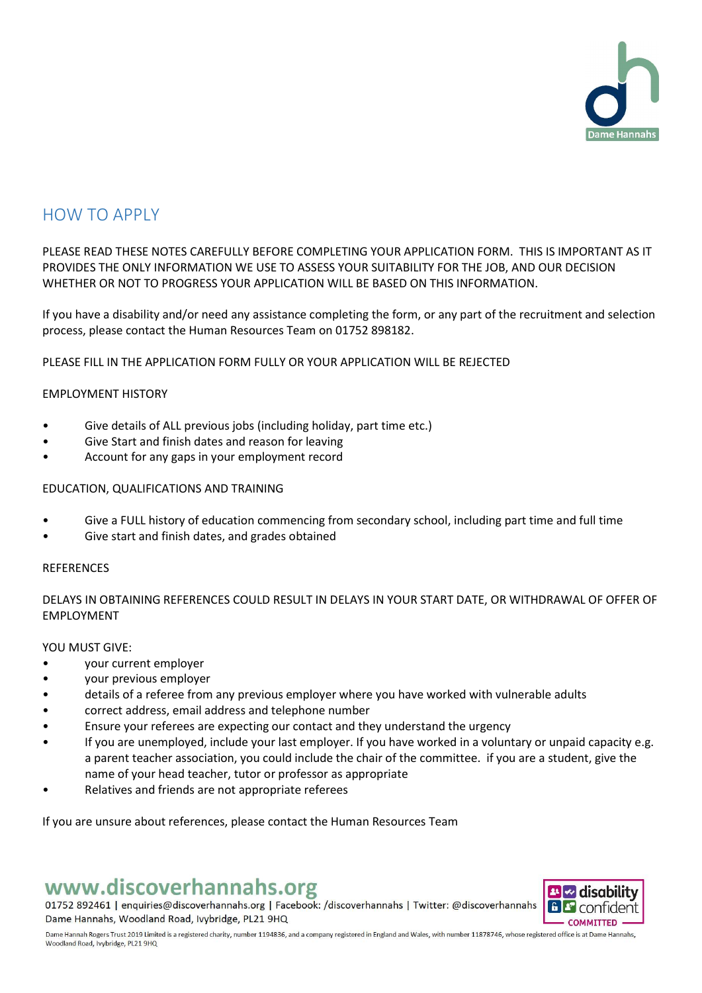

## HOW TO APPLY

PLEASE READ THESE NOTES CAREFULLY BEFORE COMPLETING YOUR APPLICATION FORM. THIS IS IMPORTANT AS IT PROVIDES THE ONLY INFORMATION WE USE TO ASSESS YOUR SUITABILITY FOR THE JOB, AND OUR DECISION WHETHER OR NOT TO PROGRESS YOUR APPLICATION WILL BE BASED ON THIS INFORMATION.

If you have a disability and/or need any assistance completing the form, or any part of the recruitment and selection process, please contact the Human Resources Team on 01752 898182.

PLEASE FILL IN THE APPLICATION FORM FULLY OR YOUR APPLICATION WILL BE REJECTED

## EMPLOYMENT HISTORY

- Give details of ALL previous jobs (including holiday, part time etc.)
- Give Start and finish dates and reason for leaving
- Account for any gaps in your employment record

## EDUCATION, QUALIFICATIONS AND TRAINING

- Give a FULL history of education commencing from secondary school, including part time and full time
- Give start and finish dates, and grades obtained

## **REFERENCES**

DELAYS IN OBTAINING REFERENCES COULD RESULT IN DELAYS IN YOUR START DATE, OR WITHDRAWAL OF OFFER OF EMPLOYMENT

#### YOU MUST GIVE:

- your current employer
- your previous employer
- details of a referee from any previous employer where you have worked with vulnerable adults
- correct address, email address and telephone number
- Ensure your referees are expecting our contact and they understand the urgency
- If you are unemployed, include your last employer. If you have worked in a voluntary or unpaid capacity e.g. a parent teacher association, you could include the chair of the committee. if you are a student, give the name of your head teacher, tutor or professor as appropriate
- Relatives and friends are not appropriate referees

If you are unsure about references, please contact the Human Resources Team

# www.discoverhannahs.org

01752 892461 | enquiries@discoverhannahs.org | Facebook: /discoverhannahs | Twitter: @discoverhannahs Dame Hannahs, Woodland Road, Ivybridge, PL21 9HQ



Dame Hannah Rogers Trust 2019 Limited is a registered charity, number 1194836, and a company registered in England and Wales, with number 11878746, whose registered office is at Dame Hannahs, Woodland Road, Ivybridge, PL21 9HQ